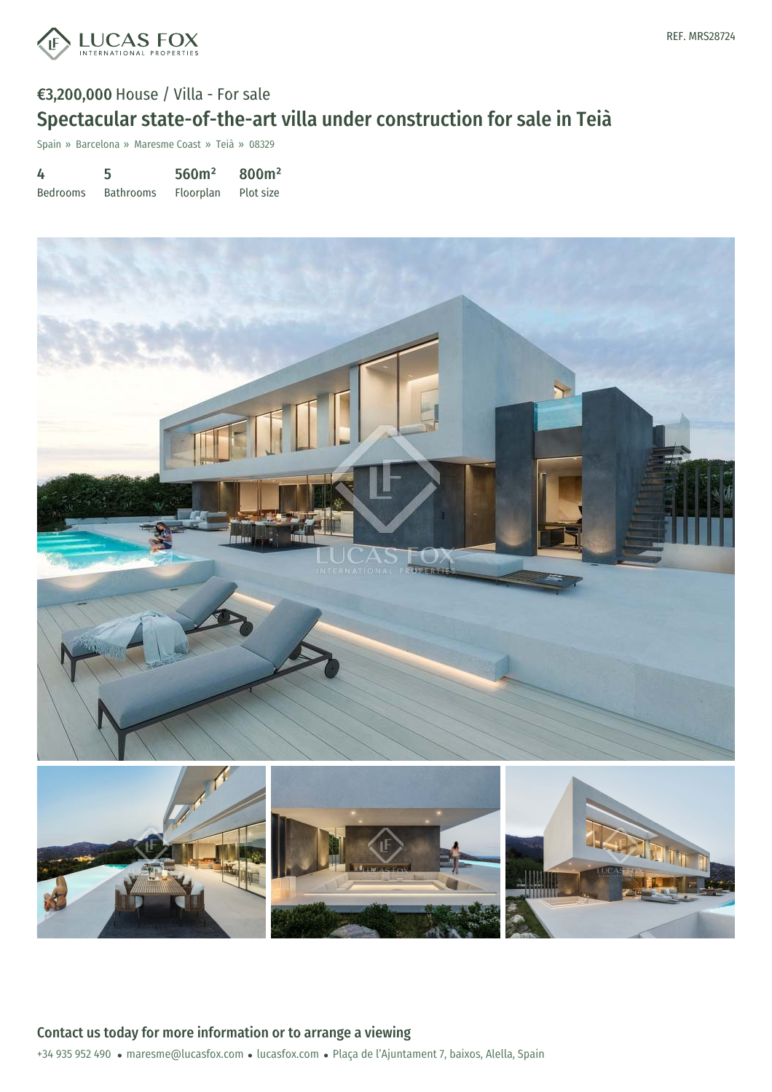

# €3,200,000 House / Villa - For sale Spectacular state-of-the-art villa under construction for sale in Teià

Spain » Barcelona » Maresme Coast » Teià » 08329

| 4               | 5                | 560m <sup>2</sup> | 800m <sup>2</sup> |
|-----------------|------------------|-------------------|-------------------|
| <b>Bedrooms</b> | <b>Bathrooms</b> | Floorplan         | Plot size         |

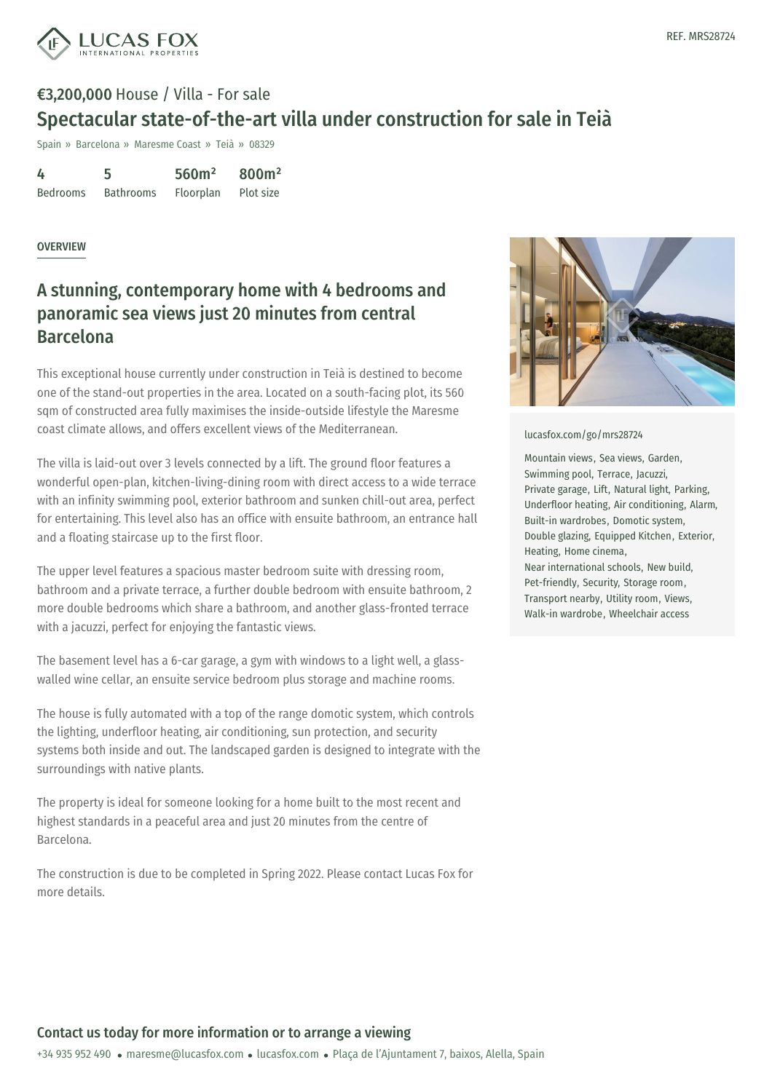

## €3,200,000 House / Villa - For sale Spectacular state-of-the-art villa under construction for sale in Teià

Spain » Barcelona » Maresme Coast » Teià » 08329

4 Bedrooms 5 Bathrooms 560m² Floorplan 800m² Plot size

### **OVERVIEW**

## A stunning, contemporary home with 4 bedrooms and panoramic sea views just 20 minutes from central Barcelona

This exceptional house currently under construction in Teià is destined to become one of the stand-out properties in the area. Located on a south-facing plot, its 560 sqm of constructed area fully maximises the inside-outside lifestyle the Maresme coast climate allows, and offers excellent views of the Mediterranean.

The villa is laid-out over 3 levels connected by a lift. The ground floor features a wonderful open-plan, kitchen-living-dining room with direct access to a wide terrace with an infinity swimming pool, exterior bathroom and sunken chill-out area, perfect for entertaining. This level also has an office with ensuite bathroom, an entrance hall and a floating staircase up to the first floor.

The upper level features a spacious master bedroom suite with dressing room, bathroom and a private terrace, a further double bedroom with ensuite bathroom, 2 more double bedrooms which share a bathroom, and another glass-fronted terrace with a jacuzzi, perfect for enjoying the fantastic views.

The basement level has a 6-car garage, a gym with windows to a light well, a glasswalled wine cellar, an ensuite service bedroom plus storage and machine rooms.

The house is fully automated with a top of the range domotic system, which controls the lighting, underfloor heating, air conditioning, sun protection, and security systems both inside and out. The landscaped garden is designed to integrate with the surroundings with native plants.

The property is ideal for someone looking for a home built to the most recent and highest standards in a [peaceful](mailto:maresme@lucasfox.com) area and just 20 [minute](https://www.lucasfox.com)s from the centre of Barcelona.

The construction is due to be completed in Spring 2022. Please contact Lucas Fox for more details.



#### [lucasfox.com/go/mrs28724](https://www.lucasfox.com/go/mrs28724)

Mountain views, Sea views, Garden, Swimming pool, Terrace, Jacuzzi, Private garage, Lift, Natural light, Parking, Underfloor heating, Air conditioning, Alarm, Built-in wardrobes, Domotic system, Double glazing, Equipped Kitchen, Exterior, Heating, Home cinema, Near international schools, New build, Pet-friendly, Security, Storage room, Transport nearby, Utility room, Views, Walk-in wardrobe, Wheelchair access